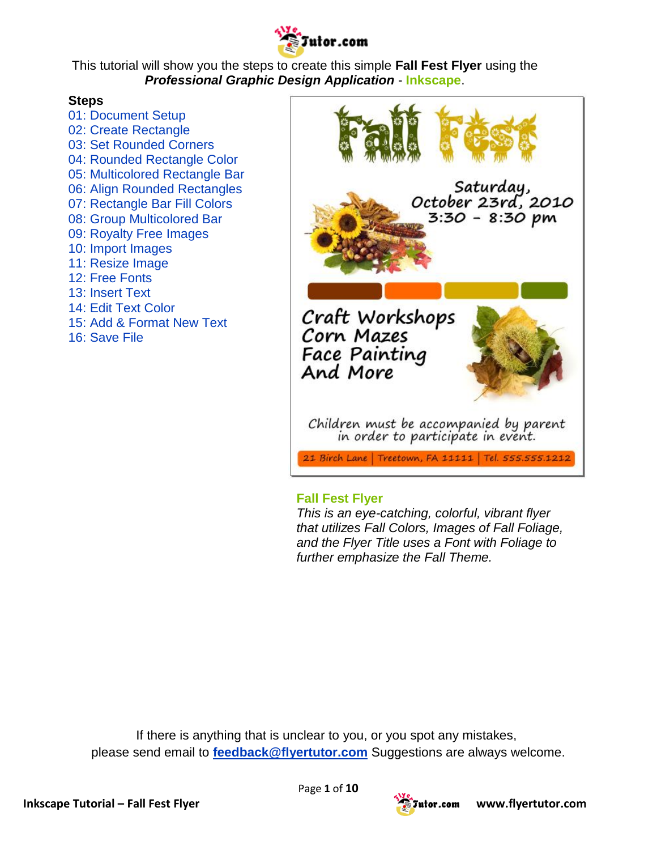

This tutorial will show you the steps to create this simple **Fall Fest Flyer** using the *Professional Graphic Design Application* - **Inkscape**.

#### **Steps**

[01: Document Setup](http://www.flyertutor.com/inkscape-tutorials/flyer-tutor/fallfest-flyer.asp#1) [02: Create Rectangle](http://www.flyertutor.com/inkscape-tutorials/flyer-tutor/fallfest-flyer1.asp#2) [03: Set Rounded Corners](http://www.flyertutor.com/inkscape-tutorials/flyer-tutor/fallfest-flyer1.asp#3) [04: Rounded Rectangle Color](http://www.flyertutor.com/inkscape-tutorials/flyer-tutor/fallfest-flyer1.asp#4) [05: Multicolored Rectangle Bar](http://www.flyertutor.com/inkscape-tutorials/flyer-tutor/fallfest-flyer1.asp#5) [06: Align Rounded Rectangles](http://www.flyertutor.com/inkscape-tutorials/flyer-tutor/fallfest-flyer1.asp#6) [07: Rectangle Bar Fill Colors](http://www.flyertutor.com/inkscape-tutorials/flyer-tutor/fallfest-flyer1.asp#7) [08: Group Multicolored Bar](http://www.flyertutor.com/inkscape-tutorials/flyer-tutor/fallfest-flyer1.asp#8) [09: Royalty Free Images](http://www.flyertutor.com/inkscape-tutorials/flyer-tutor/fallfest-flyer1.asp#9) [10: Import Images](http://www.flyertutor.com/inkscape-tutorials/flyer-tutor/fallfest-flyer1.asp#10) [11: Resize Image](http://www.flyertutor.com/inkscape-tutorials/flyer-tutor/fallfest-flyer1.asp#11) [12: Free Fonts](http://www.flyertutor.com/inkscape-tutorials/flyer-tutor/fallfest-flyer1.asp#12) [13: Insert Text](http://www.flyertutor.com/inkscape-tutorials/flyer-tutor/fallfest-flyer1.asp#13) [14: Edit Text Color](http://www.flyertutor.com/inkscape-tutorials/flyer-tutor/fallfest-flyer1.asp#14) [15: Add & Format New Text](http://www.flyertutor.com/inkscape-tutorials/flyer-tutor/fallfest-flyer1.asp#15) [16: Save File](http://www.flyertutor.com/inkscape-tutorials/flyer-tutor/fallfest-flyer1.asp#16)



#### **Fall Fest Flyer**

*This is an eye-catching, colorful, vibrant flyer that utilizes Fall Colors, Images of Fall Foliage, and the Flyer Title uses a Font with Foliage to further emphasize the Fall Theme.*

If there is anything that is unclear to you, or you spot any mistakes, please send email to **[feedback@flyertutor.com](mailto:feedback@flyertutor.com)** Suggestions are always welcome.



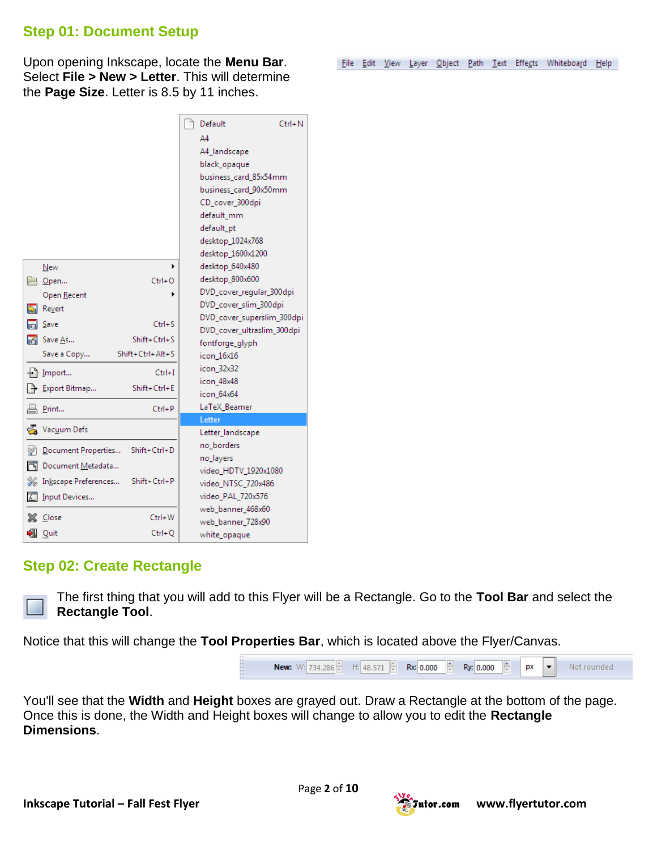#### **Step 01: Document Setup**

Upon opening Inkscape, locate the **Menu Bar**. Select **File > New > Letter**. This will determine the **Page Size**. Letter is 8.5 by 11 inches.

|    |                      |                  | Default                                    | Ctrl+N                     |
|----|----------------------|------------------|--------------------------------------------|----------------------------|
|    |                      |                  | A4                                         |                            |
|    |                      |                  | A4_landscape                               |                            |
|    |                      |                  | black_opaque                               |                            |
|    |                      |                  | business_card_85x54mm                      |                            |
|    |                      |                  | business_card_90x50mm                      |                            |
|    |                      |                  | CD_cover_300dpi                            |                            |
|    |                      |                  | default mm                                 |                            |
|    |                      |                  | default_pt                                 |                            |
|    |                      |                  | desktop_1024x768                           |                            |
|    |                      |                  | desktop_1600x1200                          |                            |
|    | New                  |                  | desktop_640x480                            |                            |
| 一  | $Q$ pen              | $Ctrl + O$       | desktop_800x600                            |                            |
|    | Open Recent          |                  | DVD_cover_regular_300dpi                   |                            |
| ଲା | Revert               |                  | DVD_cover_slim_300dpi                      |                            |
|    | Save                 | $Ctrl + S$       | DVD_cover_ultraslim_300dpi                 | DVD_cover_superslim_300dpi |
| М  | Save As              | $Shift+Ctrl + S$ | fontforge_glyph                            |                            |
|    | Save a Copy          | Shift+Ctrl+Alt+S | icon 16x16                                 |                            |
|    | $+$ ] Import         | $Ctrl + I$       | icon_32x32                                 |                            |
|    |                      |                  | icon_48x48                                 |                            |
|    | Export Bitmap        | Shift+Ctrl+E     | icon 64x64                                 |                            |
|    | Print                | $Ctrl + P$       | LaTeX_Beamer                               |                            |
|    |                      |                  | Letter                                     |                            |
|    | Vacuum Defs          |                  | Letter_landscape                           |                            |
| Y  | Document Properties  | Shift+Ctrl+D     | no borders                                 |                            |
| ħ  | Document Metadata    |                  | no_layers                                  |                            |
|    | Inkscape Preferences | Shift+Ctrl+P     | video_HDTV_1920x1080<br>video_NTSC_720x486 |                            |
|    | Input Devices        |                  | video_PAL_720x576                          |                            |
|    |                      |                  | web_banner_468x60                          |                            |
|    | <b>Close</b>         | Ctrl+W           | web_banner_728x90                          |                            |
|    | I Quit               | $Ctrl + O$       | white_opaque                               |                            |

#### **Step 02: Create Rectangle**

The first thing that you will add to this Flyer will be a Rectangle. Go to the **Tool Bar** and select the **Rectangle Tool**.

Notice that this will change the **Tool Properties Bar**, which is located above the Flyer/Canvas.



You'll see that the **Width** and **Height** boxes are grayed out. Draw a Rectangle at the bottom of the page. Once this is done, the Width and Height boxes will change to allow you to edit the **Rectangle Dimensions**.



File Edit View Layer Object Path Text Effects Whiteboard Help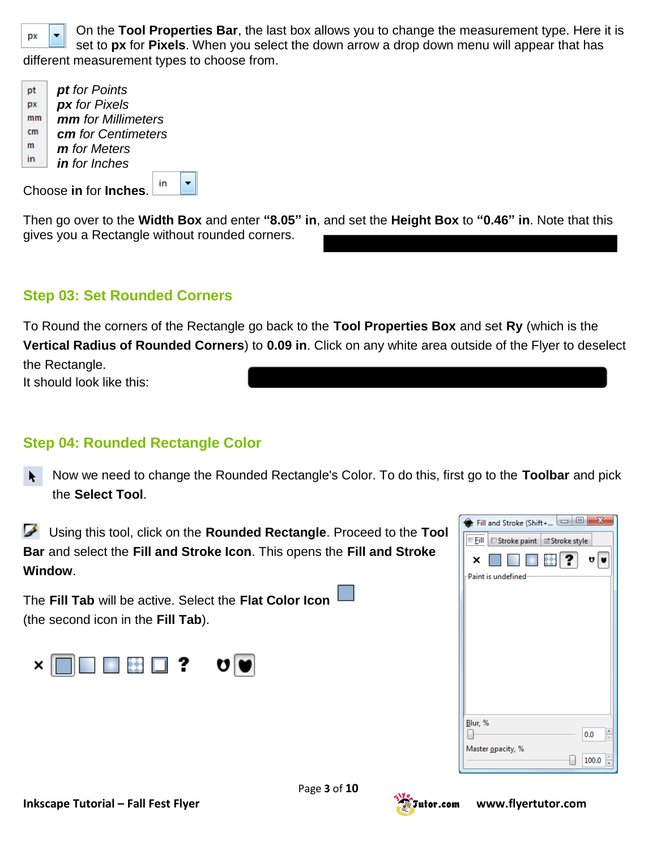

On the **Tool Properties Bar**, the last box allows you to change the measurement type. Here it is set to **px** for **Pixels**. When you select the down arrow a drop down menu will appear that has different measurement types to choose from.

*pt for Points* pt pх *px for Pixels mm for Millimeters*  $mm$  $cm$ *cm for Centimeters* m *m for Meters* in *in for Inches*

Choose **in** for **Inches**.

in  $\blacksquare$ 

Then go over to the **Width Box** and [enter](http://www.flyertutor.com/inkscape-tutorials/flyer-tutor/fallfest-flyer1.asp) **"8.05" in**, and set the **Height Box** to **"0.46" in**. Note that this gives you a Rectangle without rounded corners.

## **Step 03: Set Rounded Corners**

To Round the corners of the Rectangle go back to the **Tool Properties Box** and set **Ry** (which is the **Vertical Radius of Rounded Corners**) to **0.09 in**. Click on any white area outside of the Flyer to deselect the Rectangle.

It should look like this:

#### **Step 04: Rounded Rectangle Color**

- Now we need to change the Rounded Rectangle's Color. To do this, first go to the **Toolbar** and pick the **Select Tool**.
- Using this tool, click on the **Rounded Rectangle**. Proceed to the **Tool Bar** and select the **Fill and Stroke Icon**. This opens the **Fill and Stroke Window**.

The **Fill Tab** will be active. Select the **Flat Color Icon** (the second icon in the **Fill Tab**).



| $\vert$ ?<br>妊<br><b>The Co</b><br>U<br>Paint is undefined<br>Blur, %<br>ŧ |
|----------------------------------------------------------------------------|
|                                                                            |
|                                                                            |
|                                                                            |
|                                                                            |
|                                                                            |
|                                                                            |
|                                                                            |
|                                                                            |
|                                                                            |
|                                                                            |
| 0.0                                                                        |
|                                                                            |

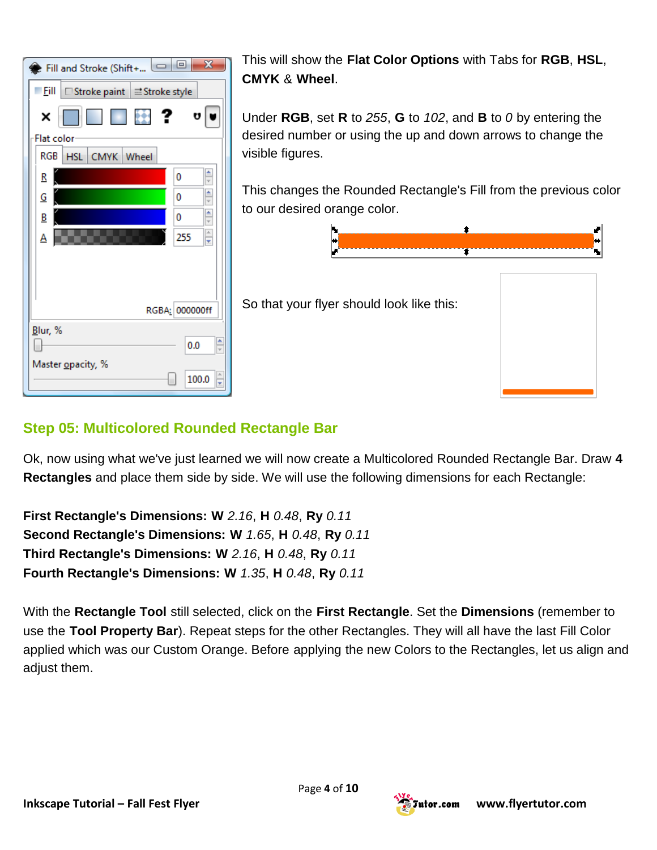

This will show the **Flat Color Options** with Tabs for **RGB**, **HSL**, **CMYK** & **Wheel**.

Under **RGB**, set **R** to *255*, **G** to *102*, and **B** to *0* by entering the desired number or using the up and down arrows to change the visible figures.

This changes the Rounded Rectangle's Fill from the previous color to our desired orange color.



So that your flyer should look like this:

## **Step 05: Multicolored Rounded Rectangle Bar**

Ok, now using what we've just learned we will now create a Multicolored Rounded Rectangle Bar. Draw **4 Rectangles** and place them side by side. We will use the following dimensions for each Rectangle:

**First Rectangle's Dimensions: W** *2.16*, **H** *0.48*, **Ry** *0.11* **Second Rectangle's Dimensions: W** *1.65*, **H** *0.48*, **Ry** *0.11* **Third Rectangle's Dimensions: W** *2.16*, **H** *0.48*, **Ry** *0.11* **Fourth Rectangle's Dimensions: W** *1.35*, **H** *0.48*, **Ry** *0.11*

With the **Rectangle Tool** still selected, click on the **First Rectangle**. Set the **Dimensions** (remember to use the **Tool Property Bar**). Repeat steps for the other Rectangles. They will all have the last Fill Color applied which was our Custom Orange. Before [applying](http://www.flyertutor.com/inkscape-tutorials/flyer-tutor/fallfest-flyer2.asp) the new Colors to the Rectangles, let us align and adjust them.

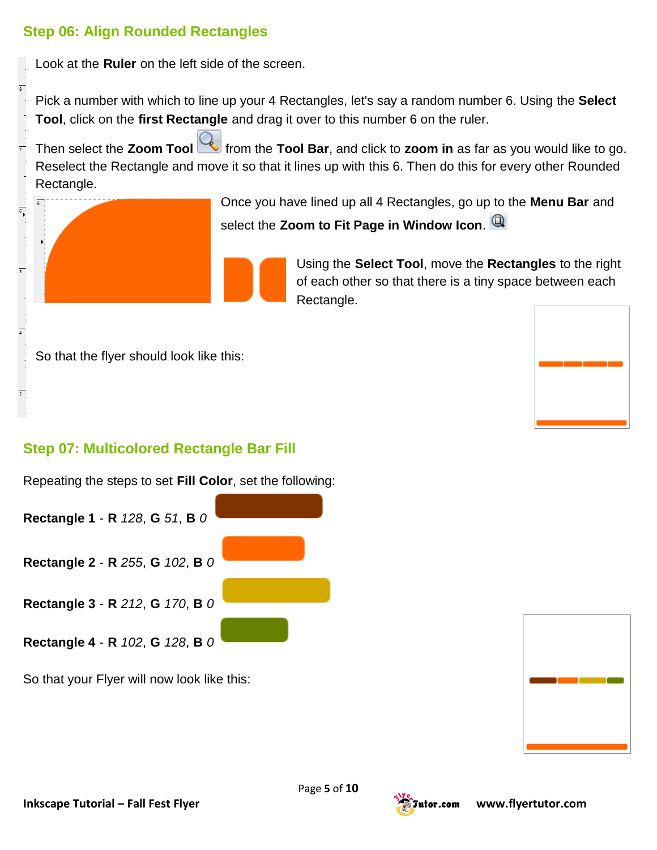### **Step 06: Align Rounded Rectangles**

Look at the **Ruler** on the left side of the screen.

Pick a number with which to line up your 4 Rectangles, let's say a random number 6. Using the **Select Tool**, click on the **first Rectangle** and drag it over to this number 6 on the ruler.

Then select the **Zoom Tool** from the **Tool Bar**, and click to **zoom in** as far as you would like to go. Reselect the Rectangle and move it so that it lines up with this 6. Then do this for every other Rounded Rectangle.



Once you have lined up all 4 Rectangles, go up to the **Menu Bar** and select the **Zoom to Fit Page in Window Icon**.

> Using the **Select Tool**, move the **Rectangles** to the right of each other so that there is a tiny space between each Rectangle.

So that the flyer should look like this:

## **Step 07: Multicolored Rectangle Bar Fill**

Repeating the steps to set **Fill Color**, set the following:

**Rectangle 1** - **R** *128*, **G** *51*, **B** *0* **Rectangle 2** - **R** *255*, **G** *102*, **B** *0* **Rectangle 3** - **R** *212*, **G** *170*, **B** *0*

So that your Flyer will now look like this:

**Rectangle 4** - **R** *102*, **G** *128*, **B** *0*



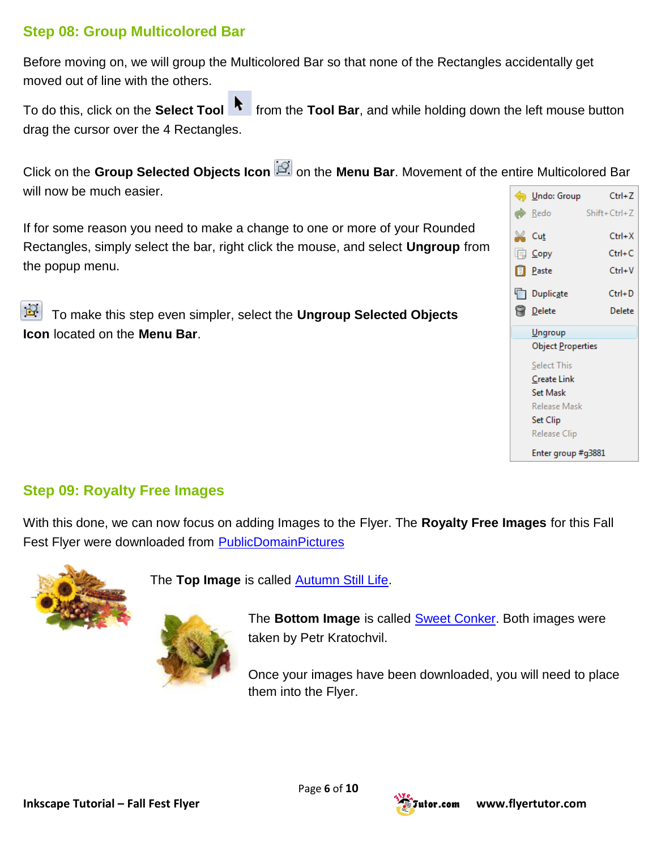## **Step 08: Group Multicolored Bar**

Before moving on, we will group the Multicolored Bar so that none of the Rectangles accidentally get moved out of line with the others.

To do this, click on the **Select Tool** from the **Tool Bar**, and while holding down the left mouse button drag the cursor over the 4 Rectangles.

Click on the Group Selected Objects Icon **Sectet on the Menu Bar**. Movement of the entire Multicolored Bar will now be much easier.

If for some reason you need to make a change to one or more of your Rounded Rectangles, simply select the bar, right click the mouse, and select **Ungroup** from the popup menu.

 $\mathbf{P}$ To make this [step](http://www.flyertutor.com/inkscape-tutorials/flyer-tutor/fallfest-flyer3.asp) even simpler, select the **Ungroup Selected Objects Icon** located on the **Menu Bar**.



#### **Step 09: Royalty Free Images**

With this done, we can now focus on adding Images to the Flyer. The **[Royalty Free Images](http://www.flyertutor.com/inkscape-tutorials/flyer-tutor/fallfest-flyer4.asp)** for this Fall Fest Flyer were downloaded from **[PublicDomainPictures](http://www.publicdomainpictures.net/)** 



The **Top Image** is called [Autumn Still Life.](http://www.publicdomainpictures.net/view-image.php?image=52&picture=autumn-still-life)

The **Bottom Image** is called [Sweet Conker.](http://www.publicdomainpictures.net/view-image.php?image=58&picture=sweet-conker) Both images were taken by Petr Kratochvil.

Once your images have been downloaded, you will need to place them into the Flyer.

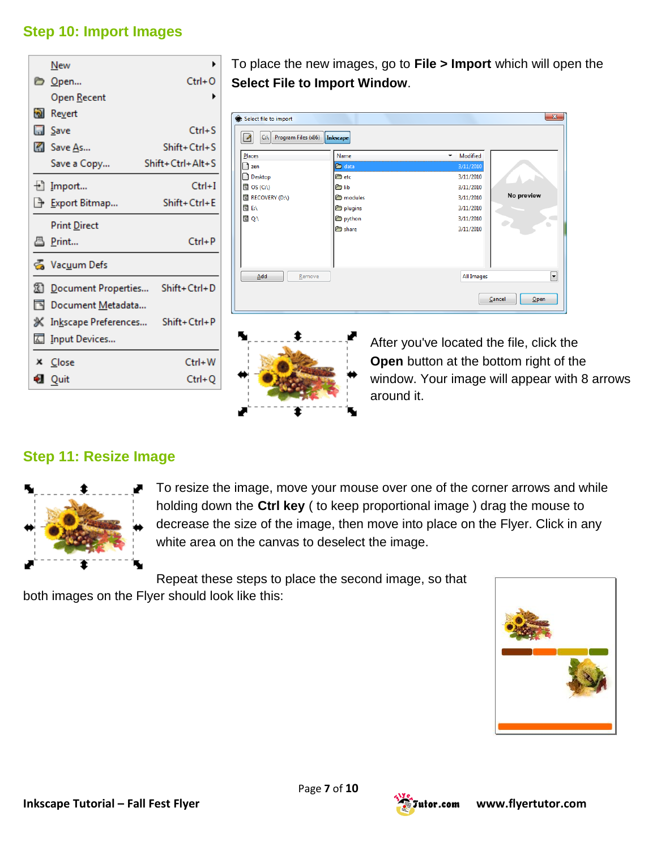## **Step 10: Import Images**

|          | New                                        |                          |
|----------|--------------------------------------------|--------------------------|
|          | D <u>O</u> pen                             | $Ctrl + O$               |
|          | Open <u>R</u> ecent                        |                          |
|          | જ <mark>ી</mark> Revert                    |                          |
|          | <b>La</b> Save                             | $Ctrl + S$               |
|          | $\mathbb{Z}$ Save As                       | $Shift+Ctrl+S$           |
|          | Save a Copy                                | $Shift + Crit + Alt + S$ |
|          | $\pm$ ] Import                             | $Ctrl + I$               |
|          | <b>↑ Export Bitmap</b>                     | Shift+Ctrl+E             |
|          | <b>Print Direct</b>                        |                          |
|          | 昌 Print                                    | $Ctrl + P$               |
|          | & Vacuum Defs                              |                          |
|          | <b>21 Document Properties Shift+Ctrl+D</b> |                          |
| <b>P</b> | Document Metadata                          |                          |
|          | ※ Inkscape Preferences Shift+Ctrl+P        |                          |
|          | △ Input Devices                            |                          |
|          | X Close                                    | Ctrl+W                   |
|          | <b>Quit</b>                                | Ctrl+Q                   |

To place the new images, go to **File > Import** which will open the **Select File to Import Window**.





After you've located the file, click the **Open** button at the bottom right of the window. Your image will appear with 8 arrows around it.

#### **Step 11: Resize Image**



To resize the image, move your mouse over one of the corner arrows and while holding down the **Ctrl key** ( to keep proportional image ) drag the mouse to decrease the size of the image, then move into place on the Flyer. Click in any white area on the canvas to deselect the image.

Repeat these steps to place the second image, so that both images on the Flyer should look like this:



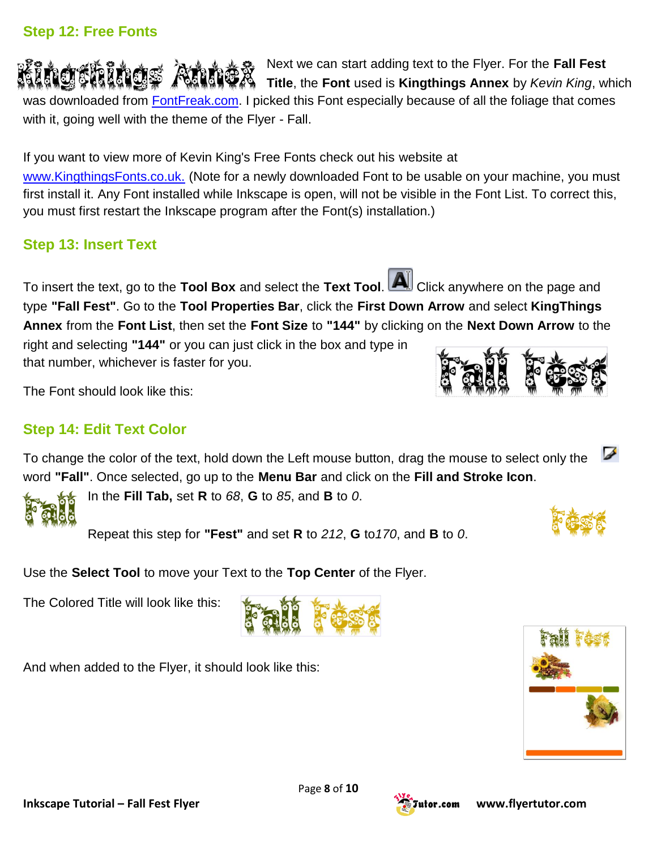## **Step 12: Free Fonts**

Next we can [start](http://www.flyertutor.com/inkscape-tutorials/flyer-tutor/fallfest-flyer5.asp) adding text to the Flyer. For the **Fall Fest Title**, the **Font** used is **Kingthings Annex** by *Kevin King*, which was downloaded from **[FontFreak.com.](http://www.fontfreak.com/)** I picked this Font especially because of all the foliage that comes with it, going well with the theme of the Flyer - Fall.

If you want to view more of Kevin King's Free Fonts check out his [website](http://www.flyertutor.com/inkscape-tutorials/flyer-tutor/fallfest-flyer5.asp) at

[www.KingthingsFonts.co.uk.](http://www.kingthingsfonts.co.uk/) (Note for a newly downloaded Font to be usable on your machine, you must first install it. Any Font installed while Inkscape is open, will not be visible in the Font List. To correct this, you must first restart the Inkscape program after the Font(s) installation.)

# **Step 13: Insert Text**

To insert the text, go to the **Tool Box** and select the **Text Tool**. Click anywhere on the page and type **"Fall Fest"**. Go to the **Tool Properties Bar**, click the **First Down Arrow** and select **KingThings Annex** from the **Font List**, then set the **Font Size** to **"144"** by clicking on the **Next Down Arrow** to the

right and selecting **"144"** or you can just click in the box and type in that number, whichever is faster for you.

The Font should look like this:

# **Step 14: Edit Text Color**

To change the color of the text, hold down the Left mouse button, drag the mouse to select only the word **"Fall"**. Once selected, go up to the **Menu Bar** and click on the **Fill and Stroke Icon**.



In the **Fill Tab,** set **R** to *68*, **G** to *85*, and **B** to *0*.

Repeat this [step](http://www.flyertutor.com/inkscape-tutorials/flyer-tutor/fallfest-flyer5.asp) for **"Fest"** and set **R** to *212*, **G** to*170*, and **B** to *0*.

Use the **Select Tool** to move your Text to the **Top Center** of the Flyer.

The Colored Title will look like this:

And when added to the Flyer, it should look like this:



✔





Page **8** of **10**

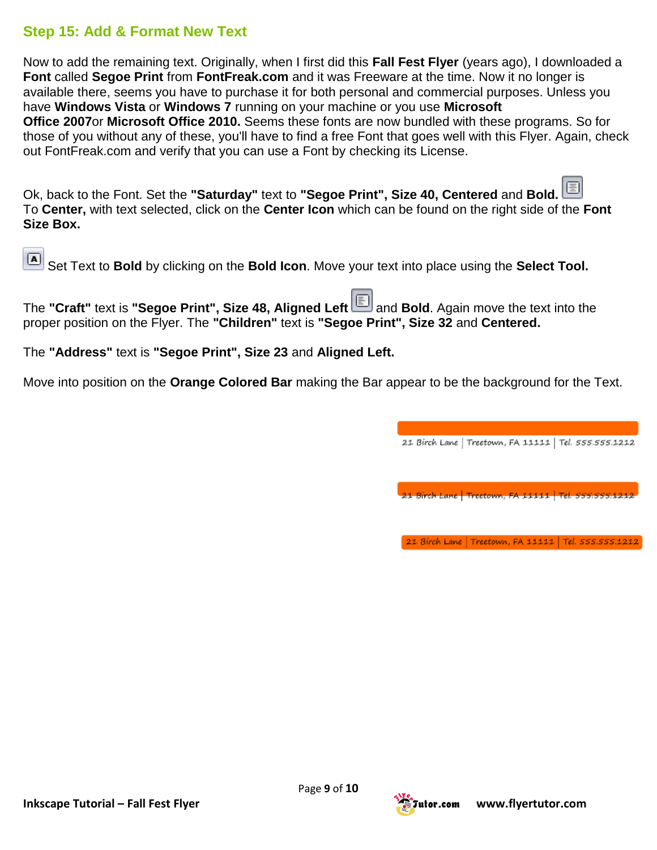#### **Step 15: Add & Format New Text**

Now to add the remaining text. Originally, when I first did this **Fall Fest Flyer** (years ago), I downloaded a **Font** called **Segoe Print** from **FontFreak.com** and it was Freeware at the time. Now it no longer is available there, seems you have to purchase it for both personal and commercial purposes. Unless you have **Windows Vista** or **Windows 7** running on your machine or you use **[Microsoft](http://www.flyertutor.com/inkscape-tutorials/flyer-tutor/fallfest-flyer6.asp)  [Office](http://www.flyertutor.com/inkscape-tutorials/flyer-tutor/fallfest-flyer6.asp) 2007**or **Microsoft Office 2010.** Seems these fonts are now bundled with these programs. So for those of you without any of these, you'll have to find a free Font that goes well with this Flyer. Again, check out FontFreak.com and verify that you can use a Font by [checking](http://www.flyertutor.com/inkscape-tutorials/flyer-tutor/fallfest-flyer6.asp) its License.

Ok, back to the Font. Set the **"Saturday"** text to **"Segoe Print", Size 40, Centered** and **Bold.** To **Center,** with text selected, click on the **Center Icon** which can be found on the right side of the **Font Size Box.**

Set Text to **Bold** by clicking on the **Bold Icon**. Move your text into place using the **Select Tool.**

The **"Craft"** text is **"Segoe Print", Size 48, Aligned Left** and **Bold**. Again move the text into the proper position on the Flyer. The **"Children"** text is **"Segoe Print", Size 32** and **Centered.**

The **"Address"** text is **"Segoe Print", Size 23** and **Aligned Left.**

Move into position on the **Orange Colored Bar** making the Bar appear to be the background for the Text.

21 Birch Lane | Treetown, FA 11111 | Tel. 555.555.1212

21 Birch Lane | Treetown, FA 11111 | Tel. 555.555.12

21 Birch Lane | Treetown, FA 11111 | Tel. 555.555.1212